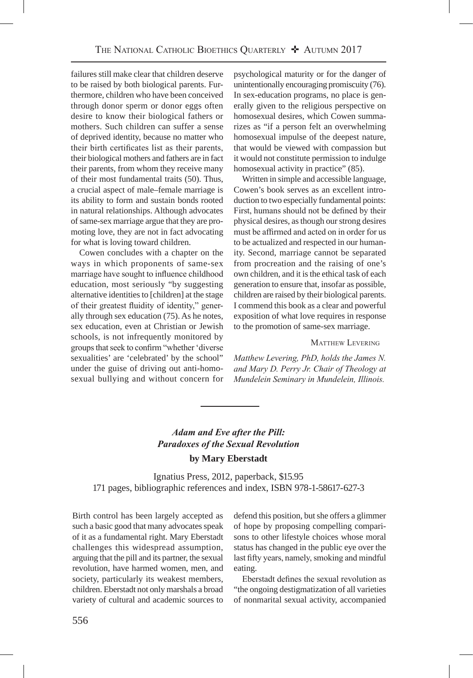failures still make clear that children deserve to be raised by both biological parents. Furthermore, children who have been conceived through donor sperm or donor eggs often desire to know their biological fathers or mothers. Such children can suffer a sense of deprived identity, because no matter who their birth certificates list as their parents, their biological mothers and fathers are in fact their parents, from whom they receive many of their most fundamental traits (50). Thus, a crucial aspect of male–female marriage is its ability to form and sustain bonds rooted in natural relationships. Although advocates of same-sex marriage argue that they are promoting love, they are not in fact advocating for what is loving toward children.

Cowen concludes with a chapter on the ways in which proponents of same-sex marriage have sought to influence childhood education, most seriously "by suggesting alternative identities to [children] at the stage of their greatest fluidity of identity," generally through sex education (75). As he notes, sex education, even at Christian or Jewish schools, is not infrequently monitored by groups that seek to confirm "whether 'diverse sexualities' are 'celebrated' by the school" under the guise of driving out anti-homosexual bullying and without concern for psychological maturity or for the danger of unintentionally encouraging promiscuity (76). In sex-education programs, no place is generally given to the religious perspective on homosexual desires, which Cowen summarizes as "if a person felt an overwhelming homosexual impulse of the deepest nature, that would be viewed with compassion but it would not constitute permission to indulge homosexual activity in practice" (85).

Written in simple and accessible language, Cowen's book serves as an excellent introduction to two especially fundamental points: First, humans should not be defined by their physical desires, as though our strong desires must be affirmed and acted on in order for us to be actualized and respected in our humanity. Second, marriage cannot be separated from procreation and the raising of one's own children, and it is the ethical task of each generation to ensure that, insofar as possible, children are raised by their biological parents. I commend this book as a clear and powerful exposition of what love requires in response to the promotion of same-sex marriage.

## Matthew Levering

*Matthew Levering, PhD, holds the James N. and Mary D. Perry Jr. Chair of Theology at Mundelein Seminary in Mundelein, Illinois.*

## *Adam and Eve after the Pill: Paradoxes of the Sexual Revolution* **by Mary Eberstadt**

Ignatius Press, 2012, paperback, \$15.95 171 pages, bibliographic references and index, ISBN 978-1-58617-627-3

Birth control has been largely accepted as such a basic good that many advocates speak of it as a fundamental right. Mary Eberstadt challenges this widespread assumption, arguing that the pill and its partner, the sexual revolution, have harmed women, men, and society, particularly its weakest members, children. Eberstadt not only marshals a broad variety of cultural and academic sources to defend this position, but she offers a glimmer of hope by proposing compelling comparisons to other lifestyle choices whose moral status has changed in the public eye over the last fifty years, namely, smoking and mindful eating.

Eberstadt defines the sexual revolution as "the ongoing destigmatization of all varieties of nonmarital sexual activity, accompanied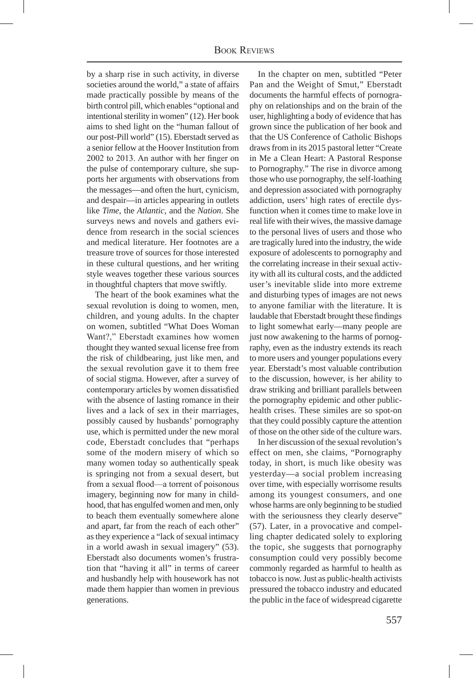by a sharp rise in such activity, in diverse societies around the world," a state of affairs made practically possible by means of the birth control pill, which enables "optional and intentional sterility in women" (12). Her book aims to shed light on the "human fallout of our post-Pill world" (15). Eberstadt served as a senior fellow at the Hoover Institution from 2002 to 2013. An author with her finger on the pulse of contemporary culture, she supports her arguments with observations from the messages—and often the hurt, cynicism, and despair—in articles appearing in outlets like *Time*, the *Atlantic*, and the *Nation*. She surveys news and novels and gathers evidence from research in the social sciences and medical literature. Her footnotes are a treasure trove of sources for those interested in these cultural questions, and her writing style weaves together these various sources in thoughtful chapters that move swiftly.

The heart of the book examines what the sexual revolution is doing to women, men, children, and young adults. In the chapter on women, subtitled "What Does Woman Want?," Eberstadt examines how women thought they wanted sexual license free from the risk of childbearing, just like men, and the sexual revolution gave it to them free of social stigma. However, after a survey of contemporary articles by women dissatisfied with the absence of lasting romance in their lives and a lack of sex in their marriages, possibly caused by husbands' pornography use, which is permitted under the new moral code, Eberstadt concludes that "perhaps some of the modern misery of which so many women today so authentically speak is springing not from a sexual desert, but from a sexual flood—a torrent of poisonous imagery, beginning now for many in childhood, that has engulfed women and men, only to beach them eventually somewhere alone and apart, far from the reach of each other" as they experience a "lack of sexual intimacy in a world awash in sexual imagery" (53). Eberstadt also documents women's frustration that "having it all" in terms of career and husbandly help with housework has not made them happier than women in previous generations.

In the chapter on men, subtitled "Peter Pan and the Weight of Smut," Eberstadt documents the harmful effects of pornography on relationships and on the brain of the user, highlighting a body of evidence that has grown since the publication of her book and that the US Conference of Catholic Bishops draws from in its 2015 pastoral letter "Create in Me a Clean Heart: A Pastoral Response to Pornography." The rise in divorce among those who use pornography, the self-loathing and depression associated with pornography addiction, users' high rates of erectile dysfunction when it comes time to make love in real life with their wives, the massive damage to the personal lives of users and those who are tragically lured into the industry, the wide exposure of adolescents to pornography and the correlating increase in their sexual activity with all its cultural costs, and the addicted user's inevitable slide into more extreme and disturbing types of images are not news to anyone familiar with the literature. It is laudable that Eberstadt brought these findings to light somewhat early—many people are just now awakening to the harms of pornography, even as the industry extends its reach to more users and younger populations every year. Eberstadt's most valuable contribution to the discussion, however, is her ability to draw striking and brilliant parallels between the pornography epidemic and other publichealth crises. These similes are so spot-on that they could possibly capture the attention of those on the other side of the culture wars.

In her discussion of the sexual revolution's effect on men, she claims, "Pornography today, in short, is much like obesity was yesterday—a social problem increasing over time, with especially worrisome results among its youngest consumers, and one whose harms are only beginning to be studied with the seriousness they clearly deserve" (57). Later, in a provocative and compelling chapter dedicated solely to exploring the topic, she suggests that pornography consumption could very possibly become commonly regarded as harmful to health as tobacco is now. Just as public-health activists pressured the tobacco industry and educated the public in the face of widespread cigarette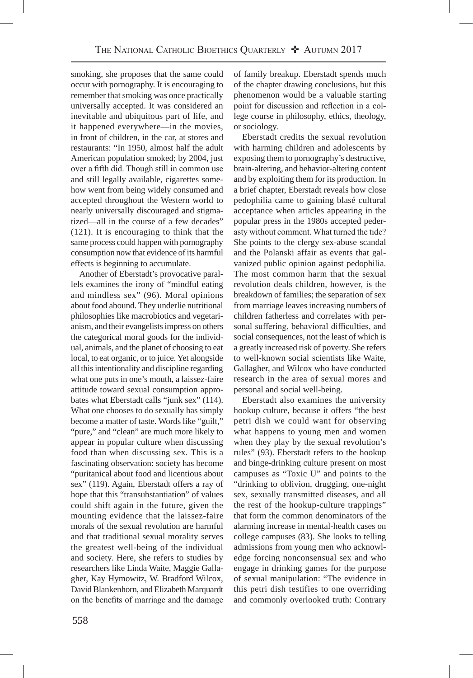smoking, she proposes that the same could occur with pornography. It is encouraging to remember that smoking was once practically universally accepted. It was considered an inevitable and ubiquitous part of life, and it happened everywhere—in the movies, in front of children, in the car, at stores and restaurants: "In 1950, almost half the adult American population smoked; by 2004, just over a fifth did. Though still in common use and still legally available, cigarettes somehow went from being widely consumed and accepted throughout the Western world to nearly universally discouraged and stigmatized—all in the course of a few decades" (121). It is encouraging to think that the same process could happen with pornography consumption now that evidence of its harmful effects is beginning to accumulate.

Another of Eberstadt's provocative parallels examines the irony of "mindful eating and mindless sex" (96). Moral opinions about food abound. They underlie nutritional philosophies like macrobiotics and vegetarianism, and their evangelists impress on others the categorical moral goods for the individual, animals, and the planet of choosing to eat local, to eat organic, or to juice. Yet alongside all this intentionality and discipline regarding what one puts in one's mouth, a laissez-faire attitude toward sexual consumption approbates what Eberstadt calls "junk sex" (114). What one chooses to do sexually has simply become a matter of taste. Words like "guilt," "pure," and "clean" are much more likely to appear in popular culture when discussing food than when discussing sex. This is a fascinating observation: society has become "puritanical about food and licentious about sex" (119). Again, Eberstadt offers a ray of hope that this "transubstantiation" of values could shift again in the future, given the mounting evidence that the laissez-faire morals of the sexual revolution are harmful and that traditional sexual morality serves the greatest well-being of the individual and society. Here, she refers to studies by researchers like Linda Waite, Maggie Gallagher, Kay Hymowitz, W. Bradford Wilcox, David Blankenhorn, and Elizabeth Marquardt on the benefits of marriage and the damage of family breakup. Eberstadt spends much of the chapter drawing conclusions, but this phenomenon would be a valuable starting point for discussion and reflection in a college course in philosophy, ethics, theology, or sociology.

Eberstadt credits the sexual revolution with harming children and adolescents by exposing them to pornography's destructive, brain-altering, and behavior-altering content and by exploiting them for its production. In a brief chapter, Eberstadt reveals how close pedophilia came to gaining blasé cultural acceptance when articles appearing in the popular press in the 1980s accepted pederasty without comment. What turned the tide? She points to the clergy sex-abuse scandal and the Polanski affair as events that galvanized public opinion against pedophilia. The most common harm that the sexual revolution deals children, however, is the breakdown of families; the separation of sex from marriage leaves increasing numbers of children fatherless and correlates with personal suffering, behavioral difficulties, and social consequences, not the least of which is a greatly increased risk of poverty. She refers to well-known social scientists like Waite, Gallagher, and Wilcox who have conducted research in the area of sexual mores and personal and social well-being.

Eberstadt also examines the university hookup culture, because it offers "the best petri dish we could want for observing what happens to young men and women when they play by the sexual revolution's rules" (93). Eberstadt refers to the hookup and binge-drinking culture present on most campuses as "Toxic U" and points to the "drinking to oblivion, drugging, one-night sex, sexually transmitted diseases, and all the rest of the hookup-culture trappings" that form the common denominators of the alarming increase in mental-health cases on college campuses (83). She looks to telling admissions from young men who acknowledge forcing nonconsensual sex and who engage in drinking games for the purpose of sexual manipulation: "The evidence in this petri dish testifies to one overriding and commonly overlooked truth: Contrary